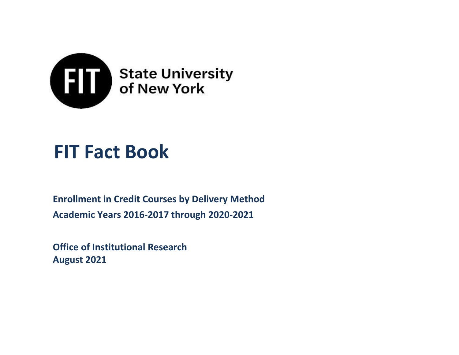

# **FIT Fact Book**

**Enrollment in Credit Courses by Delivery Method Academic Years 2016-2017 through 2020-2021**

**Office of Institutional Research August 2021**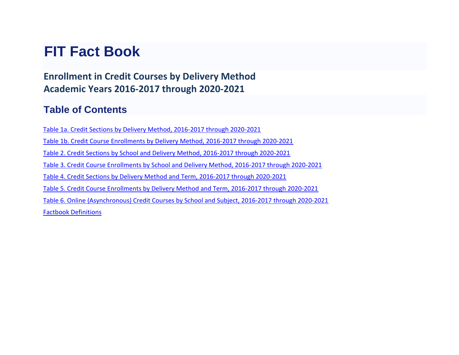## **FIT Fact Book**

**Enrollment in Credit Courses by Delivery Method Academic Years 2016-2017 through 2020-2021**

### **Table of Contents**

Table 1a. Credit Sections by Delivery Method, 2016-2017 through 2020-2021 Table 1b. Credit Course Enrollments by Delivery Method, 2016-2017 through 2020-2021

Table 2. Credit Sections by School and Delivery Method, 2016-2017 through 2020-2021

Table 3. Credit Course Enrollments by School and Delivery Method, 2016-2017 through 2020-2021

Table 4. Credit Sections by Delivery Method and Term, 2016-2017 through 2020-2021

Table 5. Credit Course Enrollments by Delivery Method and Term, 2016-2017 through 2020-2021

Table 6. Online (Asynchronous) Credit Courses by School and Subject, 2016-2017 through 2020-2021 Factbook Definitions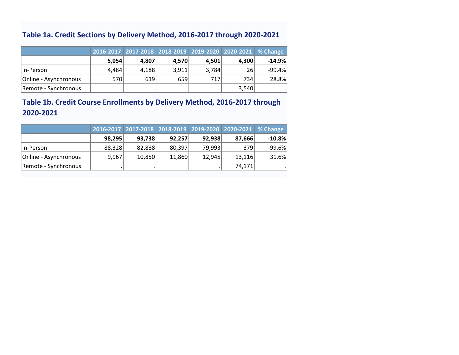### **Table 1a. Credit Sections by Delivery Method, 2016-2017 through 2020-2021**

|                       |       |       | 2016-2017 2017-2018 2018-2019 2019-2020 2020-2021 % Change |       |       |           |
|-----------------------|-------|-------|------------------------------------------------------------|-------|-------|-----------|
|                       | 5,054 | 4,807 | 4.570                                                      | 4.501 | 4.300 | $-14.9\%$ |
| lln-Person            | 4,484 | 4,188 | 3,911                                                      | 3,784 | 26    | $-99.4%$  |
| Online - Asynchronous | 570   | 619   | 659                                                        | 717   | 734   | 28.8%     |
| Remote - Synchronous  |       |       |                                                            |       | 3,540 |           |

### **Table 1b. Credit Course Enrollments by Delivery Method, 2016-2017 through 2020-2021**

|                       |        |        |        |        | 2016-2017 2017-2018 2018-2019 2019-2020 2020-2021 % Change |          |
|-----------------------|--------|--------|--------|--------|------------------------------------------------------------|----------|
|                       | 98,295 | 93,738 | 92,257 | 92,938 | 87,666                                                     | $-10.8%$ |
| lln-Person            | 88,328 | 82,888 | 80,397 | 79,993 | 379                                                        | $-99.6%$ |
| Online - Asynchronous | 9,967  | 10,850 | 11,860 | 12,945 | 13,116                                                     | 31.6%    |
| Remote - Synchronous  |        |        |        |        | 74,171                                                     |          |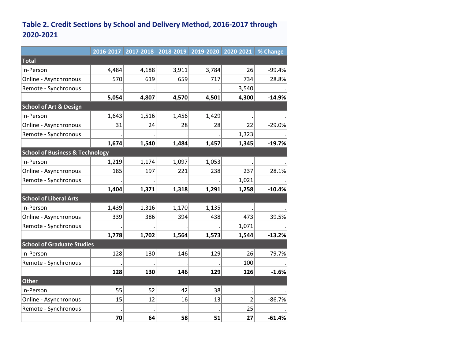### **Table 2. Credit Sections by School and Delivery Method, 2016-2017 through 2020-2021**

|                                            | 2016-2017 |       |       |       | 2017-2018 2018-2019 2019-2020 2020-2021 | % Change |
|--------------------------------------------|-----------|-------|-------|-------|-----------------------------------------|----------|
| Total                                      |           |       |       |       |                                         |          |
| In-Person                                  | 4,484     | 4,188 | 3,911 | 3,784 | 26                                      | $-99.4%$ |
| Online - Asynchronous                      | 570       | 619   | 659   | 717   | 734                                     | 28.8%    |
| Remote - Synchronous                       |           |       |       |       | 3,540                                   |          |
|                                            | 5,054     | 4,807 | 4,570 | 4,501 | 4,300                                   | $-14.9%$ |
| <b>School of Art &amp; Design</b>          |           |       |       |       |                                         |          |
| In-Person                                  | 1,643     | 1,516 | 1,456 | 1,429 |                                         |          |
| Online - Asynchronous                      | 31        | 24    | 28    | 28    | 22                                      | $-29.0%$ |
| Remote - Synchronous                       |           |       |       |       | 1,323                                   |          |
|                                            | 1,674     | 1,540 | 1,484 | 1,457 | 1,345                                   | $-19.7%$ |
| <b>School of Business &amp; Technology</b> |           |       |       |       |                                         |          |
| In-Person                                  | 1,219     | 1,174 | 1,097 | 1,053 |                                         |          |
| Online - Asynchronous                      | 185       | 197   | 221   | 238   | 237                                     | 28.1%    |
| Remote - Synchronous                       |           |       |       |       | 1,021                                   |          |
|                                            | 1,404     | 1,371 | 1,318 | 1,291 | 1,258                                   | $-10.4%$ |
| <b>School of Liberal Arts</b>              |           |       |       |       |                                         |          |
| In-Person                                  | 1,439     | 1,316 | 1,170 | 1,135 |                                         |          |
| Online - Asynchronous                      | 339       | 386   | 394   | 438   | 473                                     | 39.5%    |
| Remote - Synchronous                       |           |       |       |       | 1,071                                   |          |
|                                            | 1,778     | 1,702 | 1,564 | 1,573 | 1,544                                   | $-13.2%$ |
| <b>School of Graduate Studies</b>          |           |       |       |       |                                         |          |
| In-Person                                  | 128       | 130   | 146   | 129   | 26                                      | $-79.7%$ |
| Remote - Synchronous                       |           |       |       |       | 100                                     |          |
|                                            | 128       | 130   | 146   | 129   | 126                                     | $-1.6%$  |
| Other                                      |           |       |       |       |                                         |          |
| In-Person                                  | 55        | 52    | 42    | 38    |                                         |          |
| Online - Asynchronous                      | 15        | 12    | 16    | 13    | $\overline{2}$                          | $-86.7%$ |
| Remote - Synchronous                       |           |       |       |       | 25                                      |          |
|                                            | 70        | 64    | 58    | 51    | 27                                      | $-61.4%$ |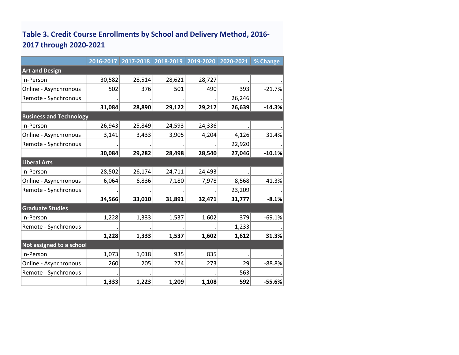### **Table 3. Credit Course Enrollments by School and Delivery Method, 2016- 2017 through 2020-2021**

|                                | 2016-2017 |        | 2017-2018 2018-2019 2019-2020 |        | 2020-2021 | % Change |
|--------------------------------|-----------|--------|-------------------------------|--------|-----------|----------|
| <b>Art and Design</b>          |           |        |                               |        |           |          |
| In-Person                      | 30,582    | 28,514 | 28,621                        | 28,727 |           |          |
| Online - Asynchronous          | 502       | 376    | 501                           | 490    | 393       | $-21.7%$ |
| Remote - Synchronous           |           |        |                               |        | 26,246    |          |
|                                | 31,084    | 28,890 | 29,122                        | 29,217 | 26,639    | $-14.3%$ |
| <b>Business and Technology</b> |           |        |                               |        |           |          |
| In-Person                      | 26,943    | 25,849 | 24,593                        | 24,336 |           |          |
| Online - Asynchronous          | 3,141     | 3,433  | 3,905                         | 4,204  | 4,126     | 31.4%    |
| Remote - Synchronous           |           |        |                               |        | 22,920    |          |
|                                | 30,084    | 29,282 | 28,498                        | 28,540 | 27,046    | $-10.1%$ |
| <b>Liberal Arts</b>            |           |        |                               |        |           |          |
| In-Person                      | 28,502    | 26,174 | 24,711                        | 24,493 |           |          |
| Online - Asynchronous          | 6,064     | 6,836  | 7,180                         | 7,978  | 8,568     | 41.3%    |
| Remote - Synchronous           |           |        |                               |        | 23,209    |          |
|                                | 34,566    | 33,010 | 31,891                        | 32,471 | 31,777    | $-8.1%$  |
| <b>Graduate Studies</b>        |           |        |                               |        |           |          |
| In-Person                      | 1,228     | 1,333  | 1,537                         | 1,602  | 379       | $-69.1%$ |
| Remote - Synchronous           |           |        |                               |        | 1,233     |          |
|                                | 1,228     | 1,333  | 1,537                         | 1,602  | 1,612     | 31.3%    |
| Not assigned to a school       |           |        |                               |        |           |          |
| In-Person                      | 1,073     | 1,018  | 935                           | 835    |           |          |
| Online - Asynchronous          | 260       | 205    | 274                           | 273    | 29        | $-88.8%$ |
| Remote - Synchronous           |           |        |                               |        | 563       |          |
|                                | 1,333     | 1,223  | 1,209                         | 1,108  | 592       | $-55.6%$ |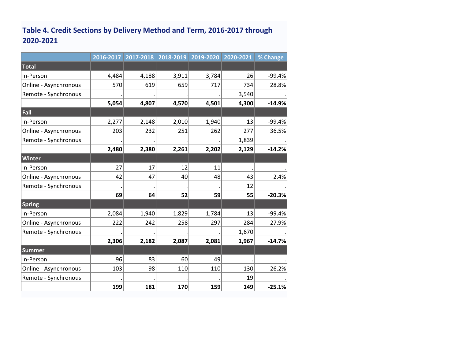### **Table 4. Credit Sections by Delivery Method and Term, 2016-2017 through 2020-2021**

|                       | 2016-2017 | 2017-2018 | 2018-2019 | 2019-2020 | 2020-2021 | % Change |
|-----------------------|-----------|-----------|-----------|-----------|-----------|----------|
| Total                 |           |           |           |           |           |          |
| In-Person             | 4,484     | 4,188     | 3,911     | 3,784     | 26        | $-99.4%$ |
| Online - Asynchronous | 570       | 619       | 659       | 717       | 734       | 28.8%    |
| Remote - Synchronous  |           |           |           |           | 3,540     |          |
|                       | 5,054     | 4,807     | 4,570     | 4,501     | 4,300     | $-14.9%$ |
| Fall                  |           |           |           |           |           |          |
| In-Person             | 2,277     | 2,148     | 2,010     | 1,940     | 13        | $-99.4%$ |
| Online - Asynchronous | 203       | 232       | 251       | 262       | 277       | 36.5%    |
| Remote - Synchronous  |           |           |           |           | 1,839     |          |
|                       | 2,480     | 2,380     | 2,261     | 2,202     | 2,129     | $-14.2%$ |
| Winter                |           |           |           |           |           |          |
| In-Person             | 27        | 17        | 12        | 11        |           |          |
| Online - Asynchronous | 42        | 47        | 40        | 48        | 43        | 2.4%     |
| Remote - Synchronous  |           |           |           |           | 12        |          |
|                       | 69        | 64        | 52        | 59        | 55        | $-20.3%$ |
| Spring                |           |           |           |           |           |          |
| In-Person             | 2,084     | 1,940     | 1,829     | 1,784     | 13        | $-99.4%$ |
| Online - Asynchronous | 222       | 242       | 258       | 297       | 284       | 27.9%    |
| Remote - Synchronous  |           |           |           |           | 1,670     |          |
|                       | 2,306     | 2,182     | 2,087     | 2,081     | 1,967     | $-14.7%$ |
| Summer                |           |           |           |           |           |          |
| In-Person             | 96        | 83        | 60        | 49        |           |          |
| Online - Asynchronous | 103       | 98        | 110       | 110       | 130       | 26.2%    |
| Remote - Synchronous  |           |           |           |           | 19        |          |
|                       | 199       | 181       | 170       | 159       | 149       | $-25.1%$ |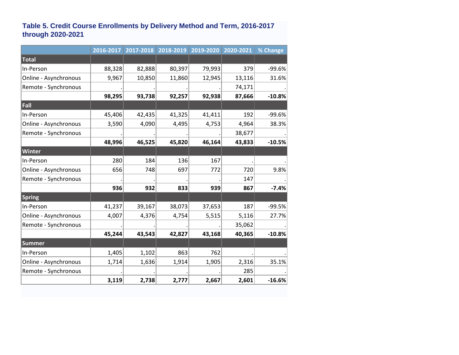#### **Table 5. Credit Course Enrollments by Delivery Method and Term, 2016-2017 through 2020-2021**

|                       | 2016-2017 | 2017-2018 | 2018-2019 | 2019-2020 | 2020-2021 | % Change |
|-----------------------|-----------|-----------|-----------|-----------|-----------|----------|
| Total                 |           |           |           |           |           |          |
| In-Person             | 88,328    | 82,888    | 80,397    | 79,993    | 379       | $-99.6%$ |
| Online - Asynchronous | 9,967     | 10,850    | 11,860    | 12,945    | 13,116    | 31.6%    |
| Remote - Synchronous  |           |           |           |           | 74,171    |          |
|                       | 98,295    | 93,738    | 92,257    | 92,938    | 87,666    | $-10.8%$ |
| Fall                  |           |           |           |           |           |          |
| In-Person             | 45,406    | 42,435    | 41,325    | 41,411    | 192       | -99.6%   |
| Online - Asynchronous | 3,590     | 4,090     | 4,495     | 4,753     | 4,964     | 38.3%    |
| Remote - Synchronous  |           |           |           |           | 38,677    |          |
|                       | 48,996    | 46,525    | 45,820    | 46,164    | 43,833    | $-10.5%$ |
| Winter                |           |           |           |           |           |          |
| In-Person             | 280       | 184       | 136       | 167       |           |          |
| Online - Asynchronous | 656       | 748       | 697       | 772       | 720       | 9.8%     |
| Remote - Synchronous  |           |           |           |           | 147       |          |
|                       | 936       | 932       | 833       | 939       | 867       | $-7.4%$  |
| <b>Spring</b>         |           |           |           |           |           |          |
| In-Person             | 41,237    | 39,167    | 38,073    | 37,653    | 187       | $-99.5%$ |
| Online - Asynchronous | 4,007     | 4,376     | 4,754     | 5,515     | 5,116     | 27.7%    |
| Remote - Synchronous  |           |           |           |           | 35,062    |          |
|                       | 45,244    | 43,543    | 42,827    | 43,168    | 40,365    | $-10.8%$ |
| Summer                |           |           |           |           |           |          |
| In-Person             | 1,405     | 1,102     | 863       | 762       |           |          |
| Online - Asynchronous | 1,714     | 1,636     | 1,914     | 1,905     | 2,316     | 35.1%    |
| Remote - Synchronous  |           |           |           |           | 285       |          |
|                       | 3,119     | 2,738     | 2,777     | 2,667     | 2,601     | $-16.6%$ |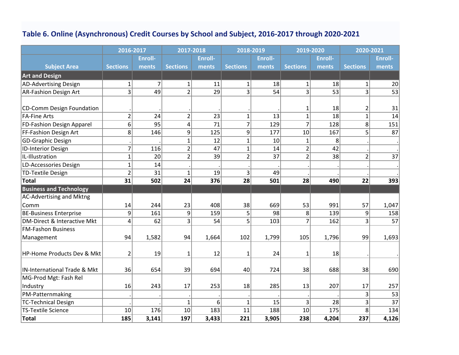### **Table 6. Online (Asynchronous) Credit Courses by School and Subject, 2016-2017 through 2020-2021**

|                                | 2016-2017               |                | 2017-2018       |                | 2018-2019       |                | 2019-2020       |                | 2020-2021       |                 |
|--------------------------------|-------------------------|----------------|-----------------|----------------|-----------------|----------------|-----------------|----------------|-----------------|-----------------|
|                                |                         | <b>Enroll-</b> |                 | <b>Enroll-</b> |                 | <b>Enroll-</b> |                 | <b>Enroll-</b> |                 | <b>Enroll-</b>  |
| <b>Subject Area</b>            | <b>Sections</b>         | ments          | <b>Sections</b> | ments          | <b>Sections</b> | ments          | <b>Sections</b> | ments          | <b>Sections</b> | ments           |
| <b>Art and Design</b>          |                         |                |                 |                |                 |                |                 |                |                 |                 |
| AD-Advertising Design          | $\mathbf{1}$            | $\overline{7}$ | $1\vert$        | 11             | $\mathbf{1}$    | 18             | $\mathbf{1}$    | 18             | $1\vert$        | 20              |
| <b>AR-Fashion Design Art</b>   | 3                       | 49             | $\overline{2}$  | 29             | 3               | 54             | 3               | 53             | $\vert$ 3       | $\overline{53}$ |
|                                |                         |                |                 |                |                 |                |                 |                |                 |                 |
| CD-Comm Design Foundation      |                         |                |                 |                |                 |                | 1               | 18             | $\overline{2}$  | 31              |
| <b>FA-Fine Arts</b>            | $\overline{2}$          | 24             | $\overline{2}$  | 23             | $\mathbf{1}$    | 13             | $\mathbf 1$     | 18             | $\mathbf{1}$    | 14              |
| FD-Fashion Design Apparel      | 6                       | 95             | 4               | 71             | 7               | 129            | $\overline{7}$  | 128            | 8 <sup>2</sup>  | 151             |
| FF-Fashion Design Art          | 8                       | 146            | 9               | 125            | 9               | 177            | 10              | 167            | $\overline{5}$  | 87              |
| GD-Graphic Design              |                         |                | $\mathbf{1}$    | 12             | $\mathbf{1}$    | 10             | $\mathbf{1}$    | 8              |                 |                 |
| <b>ID-Interior Design</b>      | 7                       | 116            | $\overline{2}$  | 47             | $\mathbf{1}$    | 14             | $\overline{2}$  | 42             |                 |                 |
| IL-Illustration                | $\mathbf{1}$            | 20             | $\overline{2}$  | 39             | $\overline{2}$  | 37             | $\overline{2}$  | 38             | $\overline{2}$  | $\overline{37}$ |
| LD-Accessories Design          | $\mathbf{1}$            | 14             |                 |                |                 |                |                 |                |                 |                 |
| TD-Textile Design              | $\overline{2}$          | 31             | $\mathbf{1}$    | 19             | 3               | 49             |                 |                |                 |                 |
| Total                          | 31                      | 502            | 24              | 376            | 28              | 501            | 28              | 490            | 22              | 393             |
| <b>Business and Technology</b> |                         |                |                 |                |                 |                |                 |                |                 |                 |
| AC-Advertising and Mktng       |                         |                |                 |                |                 |                |                 |                |                 |                 |
| Comm                           | 14                      | 244            | 23              | 408            | 38              | 669            | 53              | 991            | 57              | 1,047           |
| <b>BE-Business Enterprise</b>  | 9                       | 161            | 9               | 159            | 5               | 98             | 8               | 139            | 9               | 158             |
| DM-Direct & Interactive Mkt    | $\overline{\mathbf{4}}$ | 62             | $\overline{3}$  | 54             | 5               | 103            | $\overline{7}$  | 162            | 3 <sup>2</sup>  | 57              |
| <b>FM-Fashon Business</b>      |                         |                |                 |                |                 |                |                 |                |                 |                 |
| Management                     | 94                      | 1,582          | 94              | 1,664          | 102             | 1,799          | 105             | 1,796          | 99              | 1,693           |
|                                |                         |                |                 |                |                 |                |                 |                |                 |                 |
| HP-Home Products Dev & Mkt     | $\overline{2}$          | 19             | 1               | 12             | 1               | 24             | 1               | 18             |                 |                 |
|                                |                         |                |                 |                |                 |                |                 |                |                 |                 |
| IN-International Trade & Mkt   | 36                      | 654            | 39              | 694            | 40              | 724            | 38              | 688            | 38              | 690             |
| MG-Prod Mgt: Fash Rel          |                         |                |                 |                |                 |                |                 |                |                 |                 |
| Industry                       | 16                      | 243            | 17              | 253            | 18              | 285            | 13              | 207            | 17              | 257             |
| PM-Patternmaking               |                         |                |                 |                |                 |                |                 |                | 3               | 53              |
| <b>TC-Technical Design</b>     |                         |                | $\mathbf{1}$    | 6              | $\mathbf{1}$    | 15             | 3               | 28             | 3 <sup>2</sup>  | $\overline{37}$ |
| <b>TS-Textile Science</b>      | 10                      | 176            | 10              | 183            | 11              | 188            | 10              | 175            | 8               | 134             |
| Total                          | 185                     | 3,141          | 197             | 3,433          | 221             | 3,905          | 238             | 4,204          | 237             | 4,126           |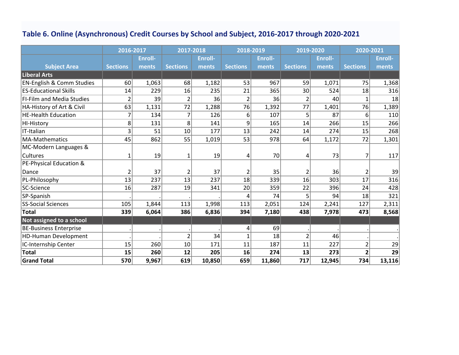### **Table 6. Online (Asynchronous) Credit Courses by School and Subject, 2016-2017 through 2020-2021**

|                                      | 2016-2017       |                | 2017-2018       |                | 2018-2019       |                | 2019-2020       |                | 2020-2021       |                |
|--------------------------------------|-----------------|----------------|-----------------|----------------|-----------------|----------------|-----------------|----------------|-----------------|----------------|
|                                      |                 | <b>Enroll-</b> |                 | <b>Enroll-</b> |                 | <b>Enroll-</b> |                 | <b>Enroll-</b> |                 | <b>Enroll-</b> |
| <b>Subject Area</b>                  | <b>Sections</b> | ments          | <b>Sections</b> | ments          | <b>Sections</b> | ments          | <b>Sections</b> | ments          | <b>Sections</b> | ments          |
| <b>Liberal Arts</b>                  |                 |                |                 |                |                 |                |                 |                |                 |                |
| <b>EN-English &amp; Comm Studies</b> | 60              | 1,063          | 68              | 1,182          | 53              | 967            | 59              | 1,071          | 75              | 1,368          |
| <b>ES-Educational Skills</b>         | 14              | 229            | 16              | 235            | 21              | 365            | 30              | 524            | 18              | 316            |
| <b>FI-Film and Media Studies</b>     | $\overline{2}$  | 39             | $\overline{2}$  | 36             | $\overline{2}$  | 36             | $\overline{2}$  | 40             | $\mathbf{1}$    | 18             |
| HA-History of Art & Civil            | 63              | 1,131          | 72              | 1,288          | 76              | 1,392          | 77              | 1,401          | 76              | 1,389          |
| <b>HE-Health Education</b>           | 7               | 134            | 7               | 126            | 6               | 107            | 5               | 87             | 6               | 110            |
| <b>HI-History</b>                    | 8               | 131            | 8               | 141            | 9               | 165            | 14              | 266            | 15              | 266            |
| IT-Italian                           | 3               | 51             | 10              | 177            | 13              | 242            | 14              | 274            | 15              | 268            |
| MA-Mathematics                       | 45              | 862            | 55              | 1,019          | 53              | 978            | 64              | 1,172          | 72              | 1,301          |
| MC-Modern Languages &                |                 |                |                 |                |                 |                |                 |                |                 |                |
| Cultures                             | 1               | 19             | $\mathbf 1$     | 19             | 4               | 70             | 4               | 73             | 7               | 117            |
| PE-Physical Education &              |                 |                |                 |                |                 |                |                 |                |                 |                |
| Dance                                | $\overline{2}$  | 37             | 2               | 37             | 2               | 35             | $\overline{2}$  | 36             | 2               | 39             |
| PL-Philosophy                        | 13              | 237            | 13              | 237            | 18              | 339            | 16              | 303            | 17              | 316            |
| SC-Science                           | 16              | 287            | 19              | 341            | 20              | 359            | 22              | 396            | 24              | 428            |
| SP-Spanish                           |                 |                |                 |                | Δ               | 74             | 5               | 94             | 18              | 321            |
| <b>SS-Social Sciences</b>            | 105             | 1,844          | 113             | 1,998          | 113             | 2,051          | 124             | 2,241          | 127             | 2,311          |
| <b>Total</b>                         | 339             | 6,064          | 386             | 6,836          | 394             | 7,180          | 438             | 7,978          | 473             | 8,568          |
| Not assigned to a school             |                 |                |                 |                |                 |                |                 |                |                 |                |
| <b>BE-Business Enterprise</b>        |                 |                |                 |                | 4               | 69             |                 |                |                 |                |
| <b>HD-Human Development</b>          |                 |                | 2               | 34             | 1               | 18             | $\overline{2}$  | 46             |                 |                |
| IC-Internship Center                 | 15              | 260            | 10              | 171            | 11              | 187            | 11              | 227            | $\overline{2}$  | 29             |
| <b>Total</b>                         | 15              | 260            | 12              | 205            | 16              | 274            | 13              | 273            | $\overline{2}$  | 29             |
| <b>Grand Total</b>                   | 570             | 9,967          | 619             | 10,850         | 659             | 11,860         | 717             | 12,945         | 734             | 13,116         |